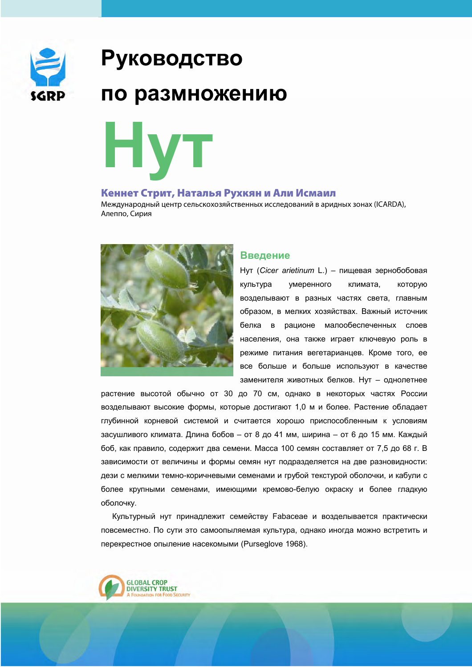

# **Руководство**

## по размножению

HVT

## Кеннет Стрит, Наталья Рухкян и Али Исмаил

Международный центр сельскохозяйственных исследований в аридных зонах (ICARDA), Алеппо, Сирия



## **Введение**

Нут (Cicer arietinum L.) - пищевая зернобобовая культура умеренного климата. **КОТОРУЮ** возделывают в разных частях света, главным образом, в мелких хозяйствах. Важный источник белка в рационе малообеспеченных слоев населения, она также играет ключевую роль в режиме питания вегетарианцев. Кроме того, ее все больше и больше используют в качестве заменителя животных белков. Нут - однолетнее

растение высотой обычно от 30 до 70 см, однако в некоторых частях России возделывают высокие формы, которые достигают 1,0 м и более. Растение обладает глубинной корневой системой и считается хорошо приспособленным к условиям засушливого климата. Длина бобов - от 8 до 41 мм, ширина - от 6 до 15 мм. Каждый боб, как правило, содержит два семени. Масса 100 семян составляет от 7.5 до 68 г. В зависимости от величины и формы семян нут подразделяется на две разновидности: дези с мелкими темно-коричневыми семенами и грубой текстурой оболочки, и кабули с более крупными семенами, имеющими кремово-белую окраску и более гладкую оболочку.

Культурный нут принадлежит семейству Fabaceae и возделывается практически повсеместно. По сути это самоопыляемая культура, однако иногда можно встретить и перекрестное опыление насекомыми (Pursealove 1968).

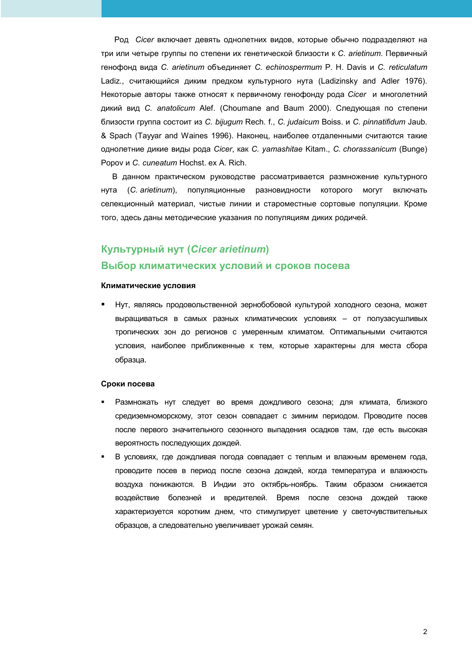Род Сісег включает девять однолетних видов, которые обычно подразделяют на три или четыре группы по степени их генетической близости к С. arietinum. Первичный генофонд вида С. arietinum объединяет С. echinospermum Р. Н. Davis и С. reticulatum Ladiz., считающийся диким предком культурного нута (Ladizinsky and Adler 1976). Некоторые авторы также относят к первичному генофонду рода Сісег и многолетний дикий вид C. anatolicum Alef. (Choumane and Baum 2000). Следующая по степени близости группа состоит из *С. bijuqum* Rech. f., *С. judaicum* Boiss. и *С. pinnatifidum* Jaub. & Spach (Tayyar and Waines 1996). Наконец, наиболее отдаленными считаются такие однолетние дикие виды рода Cicer, как C. yamashitae Kitam., C. chorassanicum (Bunge) Ророу и С. cuneatum Hochst. ex A. Rich.

В данном практическом руководстве рассматривается размножение культурного HVTa (C. arietinum), популяционные разновидности которого **MOLAL** включать селекционный материал, чистые линии и староместные сортовые популяции. Кроме того, здесь даны методические указания по популяциям диких родичей.

## Культурный нут (Cicer arietinum) Выбор климатических условий и сроков посева

#### Климатические условия

Нут, являясь продовольственной зернобобовой культурой холодного сезона, может выращиваться в самых разных климатических условиях - от полузасушливых тропических зон до регионов с умеренным климатом. Оптимальными считаются условия, наиболее приближенные к тем, которые характерны для места сбора образца.

#### Сроки посева

- Размножать нут следует во время дождливого сезона; для климата, близкого средиземноморскому, этот сезон совпадает с зимним периодом. Проводите посев после первого значительного сезонного выпадения осадков там, где есть высокая вероятность последующих дождей.
- В условиях, где дождливая погода совпадает с теплым и влажным временем года, проводите посев в период после сезона дождей, когда температура и влажность воздуха понижаются. В Индии это октябрь-ноябрь. Таким образом снижается воздействие болезней и вредителей. Время после сезона дождей также характеризуется коротким днем, что стимулирует цветение у светочувствительных образцов, а следовательно увеличивает урожай семян.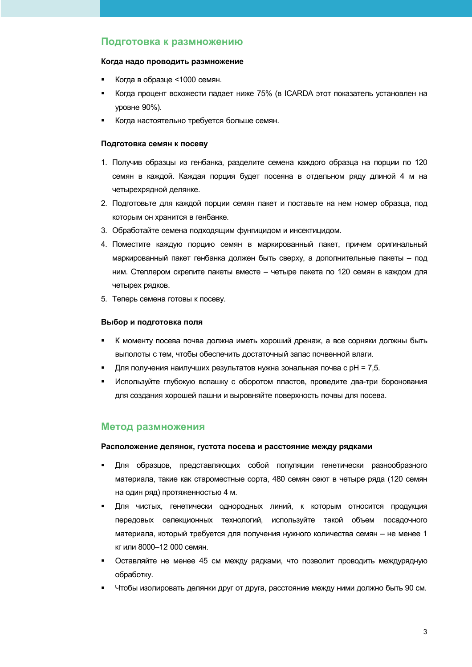## Подготовка к размножению

#### Когда надо проводить размножение

- Когда в образце <1000 семян.
- Когда процент всхожести падает ниже 75% (в ICARDA этот показатель установлен на **уровне 90%).**
- Когда настоятельно требуется больше семян.

#### Подготовка семян к посеву

- 1. Получив образцы из генбанка, разделите семена каждого образца на порции по 120 семян в каждой. Каждая порция будет посеяна в отдельном ряду длиной 4 м на четырехрядной делянке.
- 2. Подготовьте для каждой порции семян пакет и поставьте на нем номер образца, под которым он хранится в генбанке.
- 3. Обработайте семена подходящим фунгицидом и инсектицидом.
- 4. Поместите каждую порцию семян в маркированный пакет, причем оригинальный маркированный пакет генбанка должен быть сверху, а дополнительные пакеты - под ним. Степлером скрепите пакеты вместе - четыре пакета по 120 семян в каждом для четырех рядков.
- 5. Теперь семена готовы к посеву.

#### Выбор и подготовка поля

- К моменту посева почва должна иметь хороший дренаж, а все сорняки должны быть выполоты с тем, чтобы обеспечить достаточный запас почвенной влаги.
- Для получения наилучших результатов нужна зональная почва с pH = 7,5.
- Используйте глубокую вспашку с оборотом пластов, проведите два-три боронования для создания хорошей пашни и выровняйте поверхность почвы для посева.

## Метод размножения

#### Расположение делянок, густота посева и расстояние между рядками

- Для образцов, представляющих собой популяции генетически разнообразного материала, такие как староместные сорта, 480 семян сеют в четыре ряда (120 семян на один ряд) протяженностью 4 м.
- Для чистых, генетически однородных линий, к которым относится продукция передовых селекционных технологий, используйте такой объем посадочного материала, который требуется для получения нужного количества семян - не менее 1 кг или 8000-12 000 семян.
- Оставляйте не менее 45 см между рядками, что позволит проводить междурядную обработку.
- Чтобы изолировать делянки друг от друга, расстояние между ними должно быть 90 см.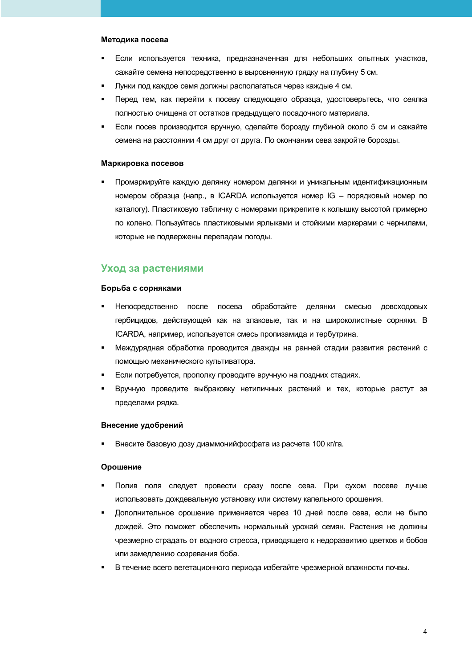#### Методика посева

- Если используется техника, предназначенная для небольших опытных участков, сажайте семена непосредственно в выровненную грядку на глубину 5 см.
- Лунки под каждое семя должны располагаться через каждые 4 см.
- Перед тем, как перейти к посеву следующего образца, удостоверьтесь, что сеялка полностью очищена от остатков предыдущего посадочного материала.
- Если посев производится вручную, сделайте борозду глубиной около 5 см и сажайте семена на расстоянии 4 см друг от друга. По окончании сева закройте борозды.

#### Маркировка посевов

Промаркируйте каждую делянку номером делянки и уникальным идентификационным номером образца (напр., в ICARDA используется номер IG - порядковый номер по каталогу). Пластиковую табличку с номерами прикрепите к колышку высотой примерно по колено. Пользуйтесь пластиковыми ярлыками и стойкими маркерами с чернилами. которые не подвержены перепадам погоды.

## Уход за растениями

#### Борьба с сорняками

- Непосредственно после посева обработайте делянки смесью довсходовых гербицидов, действующей как на злаковые, так и на широколистные сорняки. В ICARDA, например, используется смесь пропизамида и тербутрина.
- Междурядная обработка проводится дважды на ранней стадии развития растений с помощью механического культиватора.
- Если потребуется, прополку проводите вручную на поздних стадиях.
- Вручную проведите выбраковку нетипичных растений и тех, которые растут за  $\blacksquare$ пределами рядка.

#### Внесение удобрений

Внесите базовую дозу диаммонийфосфата из расчета 100 кг/га.

#### Орошение

- Полив поля следует провести сразу после сева. При сухом посеве лучше использовать дождевальную установку или систему капельного орошения.
- $\blacksquare$ Дополнительное орошение применяется через 10 дней после сева, если не было дождей. Это поможет обеспечить нормальный урожай семян. Растения не должны чрезмерно страдать от водного стресса, приводящего к недоразвитию цветков и бобов или замедлению созревания боба.
- В течение всего вегетационного периода избегайте чрезмерной влажности почвы.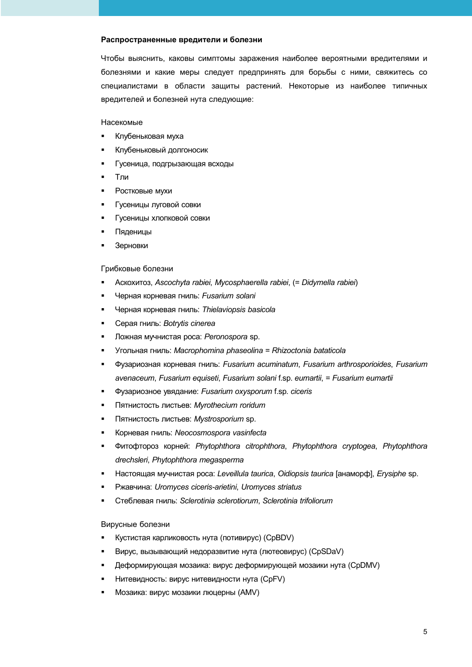#### Распространенные вредители и болезни

Чтобы выяснить, каковы симптомы заражения наиболее вероятными вредителями и болезнями и какие меры следует предпринять для борьбы с ними, свяжитесь со специалистами в области защиты растений. Некоторые из наиболее типичных вредителей и болезней нута следующие:

Насекомые

- $\blacksquare$ Клубеньковая муха
- $\blacksquare$ Клубеньковый долгоносик
- Гусеница, подгрызающая всходы  $\blacksquare$
- Тли  $\blacksquare$
- Ростковые мухи  $\blacksquare$
- Гусеницы луговой совки
- Гусеницы хлопковой совки
- Пяденицы
- Зерновки

#### Грибковые болезни

- Аскохитоз, Ascochyta rabiei, Mycosphaerella rabiei, (= Didymella rabiei)
- Черная корневая гниль: Fusarium solani
- Черная корневая гниль: Thielaviopsis basicola  $\blacksquare$
- $\blacksquare$ Серая гниль: Botrytis cinerea
- Ложная мучнистая роса: Peronospora sp.  $\blacksquare$
- Угольная гниль: Macrophomina phaseolina = Rhizoctonia bataticola  $\blacksquare$
- $\blacksquare$ Фузариозная корневая гниль: Fusarium acuminatum, Fusarium arthrosporioides, Fusarium avenaceum, Fusarium equiseti, Fusarium solani f.sp. eumartii, = Fusarium eumartii
- Фузариозное увядание: Fusarium oxysporum f.sp. ciceris
- Пятнистость листьев: Myrothecium roridum  $\blacksquare$
- Пятнистость листьев: Mystrosporium sp.  $\blacksquare$
- $\blacksquare$ Корневая гниль: Neocosmospora vasinfecta
- Фитофтороз корней: Phytophthora citrophthora, Phytophthora cryptogea, Phytophthora  $\blacksquare$ drechsleri, Phytophthora megasperma
- Настоящая мучнистая роса: Leveillula taurica, Oidiopsis taurica [анаморф], Erysiphe sp.
- Ржавчина: Uromyces ciceris-arietini, Uromyces striatus
- Стеблевая гниль: Sclerotinia sclerotiorum, Sclerotinia trifoliorum

#### Вирусные болезни

- $\blacksquare$ Кустистая карликовость нута (потивирус) (CpBDV)
- Вирус, вызывающий недоразвитие нута (лютеовирус) (CpSDaV)
- Деформирующая мозаика: вирус деформирующей мозаики нута (CpDMV)
- Нитевидность: вирус нитевидности нута (CpFV)
- Мозаика: вирус мозаики люцерны (AMV)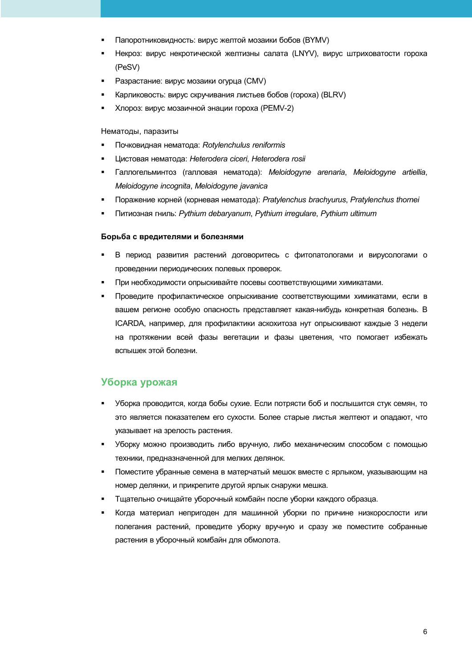- Папоротниковидность: вирус желтой мозаики бобов (BYMV)
- Некроз: вирус некротической желтизны салата (LNYV), вирус штриховатости гороха (PeSV)
- Разрастание: вирус мозаики огурца (CMV)
- Карликовость: вирус скручивания листьев бобов (гороха) (BLRV)
- Хлороз: вирус мозаичной энации гороха (PEMV-2)

#### Нематоды, паразиты

- Почковидная нематода: Rotylenchulus reniformis
- $\blacksquare$ Цистовая нематода: Heterodera ciceri, Heterodera rosii
- Галлогельминтоз (галловая нематода): Meloidogyne arenaria, Meloidogyne artiellia, Meloidogyne incognita, Meloidogyne javanica
- Поражение корней (корневая нематода): Pratylenchus brachyurus, Pratylenchus thornei
- Питиозная гниль: Pythium debaryanum, Pythium irregulare, Pythium ultimum

#### Борьба с вредителями и болезнями

- $\blacksquare$ В период развития растений договоритесь с фитопатологами и вирусологами о проведении периодических полевых проверок.
- При необходимости опрыскивайте посевы соответствующими химикатами.
- Проведите профилактическое опрыскивание соответствующими химикатами, если в вашем регионе особую опасность представляет какая-нибудь конкретная болезнь. В ICARDA, например, для профилактики аскохитоза нут опрыскивают каждые 3 недели на протяжении всей фазы вегетации и фазы цветения, что помогает избежать вспышек этой болезни.

## Уборка урожая

- Уборка проводится, когда бобы сухие. Если потрясти боб и послышится стук семян, то это является показателем его сухости. Более старые листья желтеют и опадают, что указывает на зрелость растения.
- Уборку можно производить либо вручную, либо механическим способом с помощью техники, предназначенной для мелких делянок.
- Поместите убранные семена в матерчатый мешок вместе с ярлыком, указывающим на номер делянки, и прикрепите другой ярлык снаружи мешка.
- Тщательно очищайте уборочный комбайн после уборки каждого образца.
- Когда материал непригоден для машинной уборки по причине низкорослости или  $\blacksquare$ полегания растений, проведите уборку вручную и сразу же поместите собранные растения в уборочный комбайн для обмолота.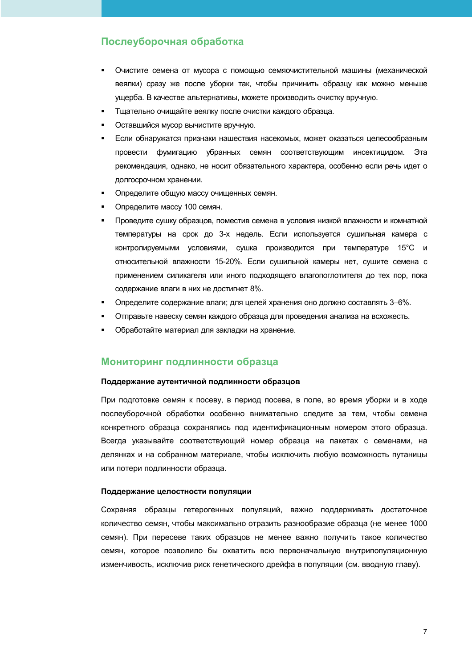## Послеуборочная обработка

- Очистите семена от мусора с помощью семяочистительной машины (механической веялки) сразу же после уборки так, чтобы причинить образцу как можно меньше ущерба. В качестве альтернативы, можете производить очистку вручную.
- Тщательно очищайте веялку после очистки каждого образца.
- Оставшийся мусор вычистите вручную.
- Если обнаружатся признаки нашествия насекомых, может оказаться целесообразным провести фумигацию убранных семян соответствующим инсектицидом. Эта рекомендация, однако, не носит обязательного характера, особенно если речь идет о долгосрочном хранении.
- Определите общую массу очищенных семян.
- Определите массу 100 семян.
- Проведите сушку образцов, поместив семена в условия низкой влажности и комнатной температуры на срок до 3-х недель. Если используется сушильная камера с контролируемыми условиями, сушка производится при температуре 15°С и относительной влажности 15-20%. Если сушильной камеры нет, сушите семена с применением силикагеля или иного подходящего влагопоглотителя до тех пор, пока содержание влаги в них не достигнет 8%.
- Определите содержание влаги; для целей хранения оно должно составлять 3-6%.
- Отправьте навеску семян каждого образца для проведения анализа на всхожесть.
- Обработайте материал для закладки на хранение.

## Мониторинг подлинности образца

#### Поддержание аутентичной подлинности образцов

При подготовке семян к посеву, в период посева, в поле, во время уборки и в ходе послеуборочной обработки особенно внимательно следите за тем, чтобы семена конкретного образца сохранялись под идентификационным номером этого образца. Всегда указывайте соответствующий номер образца на пакетах с семенами, на делянках и на собранном материале, чтобы исключить любую возможность путаницы или потери подлинности образца.

#### Поддержание целостности популяции

Сохраняя образцы гетерогенных популяций, важно поддерживать достаточное количество семян, чтобы максимально отразить разнообразие образца (не менее 1000 семян). При пересеве таких образцов не менее важно получить такое количество семян, которое позволило бы охватить всю первоначальную внутрипопуляционную изменчивость, исключив риск генетического дрейфа в популяции (см. вводную главу).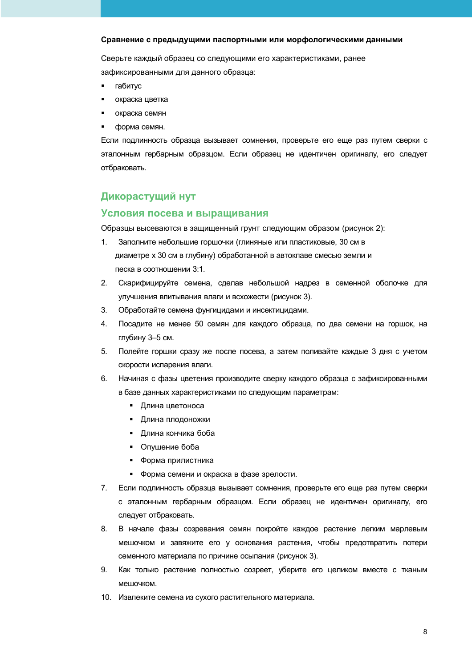#### Сравнение с предыдущими паспортными или морфологическими данными

Сверьте каждый образец со следующими его характеристиками, ранее зафиксированными для данного образца:

- $\blacksquare$ габитус
- окраска цветка  $\blacksquare$
- окраска семян  $\blacksquare$
- форма семян.

Если подлинность образца вызывает сомнения, проверьте его еще раз путем сверки с эталонным гербарным образцом. Если образец не идентичен оригиналу, его следует отбраковать.

## Дикорастущий нут

#### Условия посева и выращивания

Образцы высеваются в защищенный грунт следующим образом (рисунок 2):

- $1<sub>1</sub>$ Заполните небольшие горшочки (глиняные или пластиковые, 30 см в диаметре х 30 см в глубину) обработанной в автоклаве смесью земли и песка в соотношении 3:1.
- $2<sup>1</sup>$ Скарифицируйте семена, сделав небольшой надрез в семенной оболочке для улучшения впитывания влаги и всхожести (рисунок 3).
- $3<sub>1</sub>$ Обработайте семена фунгицидами и инсектицидами.
- 4. Посадите не менее 50 семян для каждого образца, по два семени на горшок, на глубину 3-5 см.
- 5. Полейте горшки сразу же после посева, а затем поливайте каждые 3 дня с учетом скорости испарения влаги.
- 6 Начиная с фазы цветения производите сверку каждого образца с зафиксированными в базе данных характеристиками по следующим параметрам:
	- Длина цветоноса
	- Длина плодоножки
	- Длина кончика боба
	- Опушение боба
	- $\blacksquare$ Форма прилистника
	- Форма семени и окраска в фазе зрелости.
- $7<sub>1</sub>$ Если подлинность образца вызывает сомнения, проверьте его еще раз путем сверки с эталонным гербарным образцом. Если образец не идентичен оригиналу, его следует отбраковать.
- 8. В начале фазы созревания семян покройте каждое растение легким марлевым мешочком и завяжите его у основания растения, чтобы предотвратить потери семенного материала по причине осыпания (рисунок 3).
- $\mathbf{Q}$ Как только растение полностью созреет, уберите его целиком вместе с тканым мешочком.
- 10. Извлеките семена из сухого растительного материала.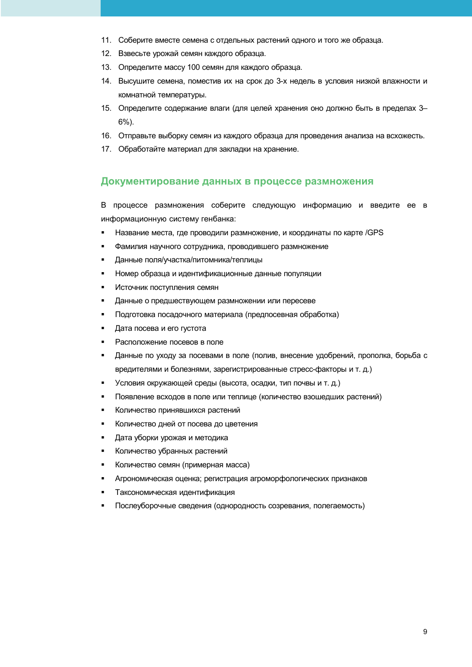- 11. Соберите вместе семена с отдельных растений одного и того же образца.
- 12. Взвесьте урожай семян каждого образца.
- 13. Определите массу 100 семян для каждого образца.
- 14. Высушите семена, поместив их на срок до 3-х недель в условия низкой влажности и комнатной температуры.
- 15. Определите содержание влаги (для целей хранения оно должно быть в пределах 3- $6\%$ ).
- 16. Отправьте выборку семян из каждого образца для проведения анализа на всхожесть.
- 17. Обработайте материал для закладки на хранение.

## Документирование данных в процессе размножения

В процессе размножения соберите следующую информацию и введите ее в информационную систему генбанка:

- $\blacksquare$ Название места, где проводили размножение, и координаты по карте /GPS
- $\blacksquare$ Фамилия научного сотрудника, проводившего размножение
- Данные поля/участка/питомника/теплицы  $\blacksquare$
- Номер образца и идентификационные данные популяции  $\blacksquare$
- Источник поступления семян
- $\blacksquare$ Данные о предшествующем размножении или пересеве
- Подготовка посадочного материала (предпосевная обработка)  $\blacksquare$
- Дата посева и его густота  $\blacksquare$
- Расположение посевов в поле  $\blacksquare$
- $\blacksquare$ Данные по уходу за посевами в поле (полив, внесение удобрений, прополка, борьба с вредителями и болезнями, зарегистрированные стресс-факторы и т. д.)
- Условия окружающей среды (высота, осадки, тип почвы и т. д.)
- Появление всходов в поле или теплице (количество взошедших растений)  $\blacksquare$
- Количество принявшихся растений  $\blacksquare$
- $\blacksquare$ Количество дней от посева до цветения
- $\blacksquare$ Дата уборки урожая и методика
- Количество убранных растений  $\blacksquare$
- Количество семян (примерная масса)
- Агрономическая оценка; регистрация агроморфологических признаков
- Таксономическая идентификация
- Послеуборочные сведения (однородность созревания, полегаемость)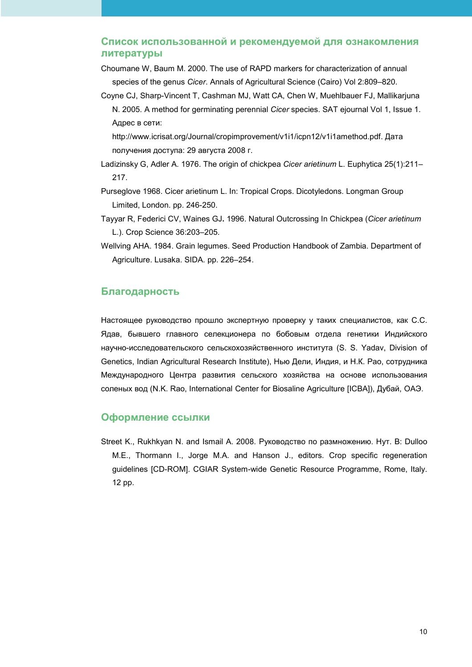## Список использованной и рекомендуемой для ознакомления литературы

- Choumane W, Baum M. 2000. The use of RAPD markers for characterization of annual species of the genus *Cicer*. Annals of Agricultural Science (Cairo) Vol 2:809–820.
- Coyne CJ, Sharp-Vincent T, Cashman MJ, Watt CA, Chen W, Muehlbauer FJ, Mallikarjuna N. 2005. A method for germinating perennial *Cicer* species. SAT ejournal Vol 1, Issue 1. Адрес в сети:

http://www.icrisat.org/Journal/cropimprovement/v1i1/icpn12/v1i1amethod.pdf. Дата получения доступа: 29 августа 2008 г.

- Ladizinsky G, Adler A. 1976. The origin of chickpea *Cicer arietinum* L. Euphytica 25(1):211– 217.
- Purseglove 1968. Cicer arietinum L. In: Tropical Crops. Dicotyledons. Longman Group Limited, London. pp. 246-250.
- Tayyar R, Federici CV, Waines GJ**.** 1996. Natural Outcrossing In Chickpea (*Cicer arietinum*  L.). Crop Science 36:203–205.
- Wellving AHA. 1984. Grain legumes. Seed Production Handbook of Zambia. Department of Agriculture. Lusaka. SIDA. pp. 226–254.

## **Благодарность**

Настоящее руководство прошло экспертную проверку у таких специалистов, как С.С. Ядав, бывшего главного селекционера по бобовым отдела генетики Индийского научно-исследовательского сельскохозяйственного института (S. S. Yadav, Division of Genetics, Indian Agricultural Research Institute), Нью Дели, Индия, и Н.К. Рао, сотрудника Международного Центра развития сельского хозяйства на основе использования соленых вод (N.K. Rao, International Center for Biosaline Agriculture [ICBA]), Дубай, ОАЭ.

## **Оформление ссылки**

Street K., Rukhkyan N. and Ismail A. 2008. Руководство по размножению. Нут. В: Dulloo M.E., Thormann I., Jorge M.A. and Hanson J., editors. Crop specific regeneration guidelines [CD-ROM]. CGIAR System-wide Genetic Resource Programme, Rome, Italy. 12 pp.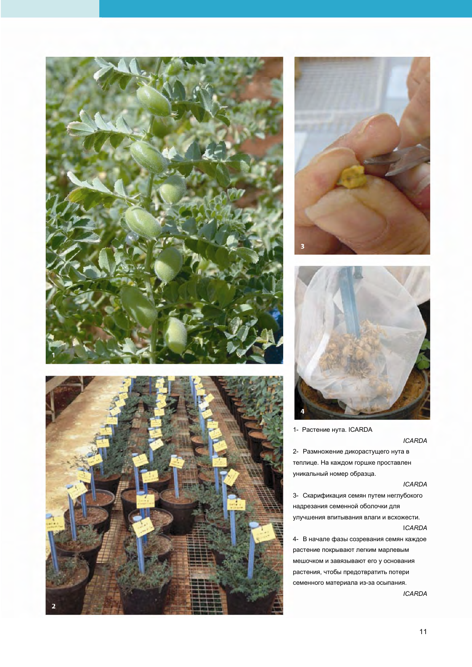

![](_page_10_Picture_1.jpeg)

![](_page_10_Picture_2.jpeg)

![](_page_10_Picture_3.jpeg)

1- Растение нута. ICARDA

**ICARDA** 

2- Размножение дикорастущего нута в теплице. На каждом горшке проставлен уникальный номер образца.

#### **ICARDA**

3- Скарификация семян путем неглубокого надрезания семенной оболочки для улучшения впитывания влаги и всхожести. **ICARDA** 

4- В начале фазы созревания семян каждое растение покрывают легким марлевым мешочком и завязывают его у основания растения, чтобы предотвратить потери семенного материала из-за осыпания.

**ICARDA**